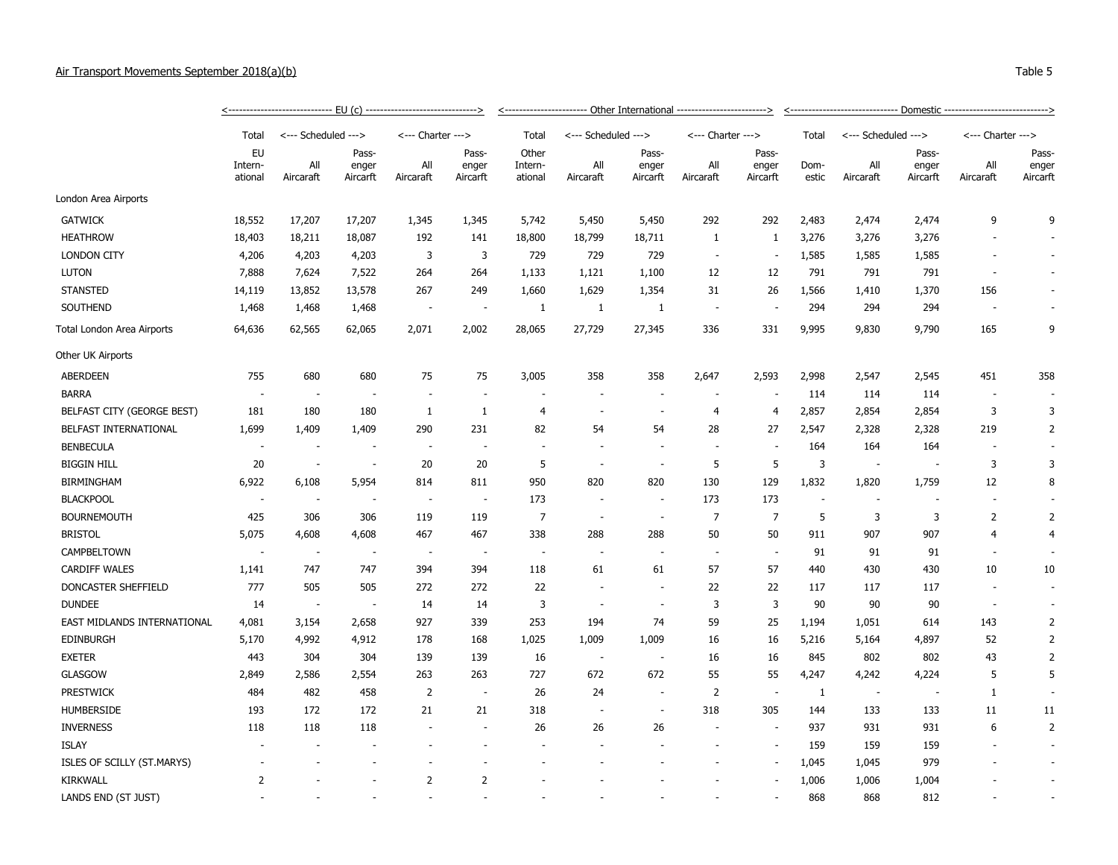## Air Transport Movements September 2018(a)(b) Table 5

|                             |                          | <-------------------------------    EU (c) ------------------------------> |                            |                          |                            | <----------------------- Other International ------------------------> |                          |                            |                          |                            |               | <-------------------------------    Domestic ---------------------------> |                            |                   |                            |  |  |
|-----------------------------|--------------------------|----------------------------------------------------------------------------|----------------------------|--------------------------|----------------------------|------------------------------------------------------------------------|--------------------------|----------------------------|--------------------------|----------------------------|---------------|---------------------------------------------------------------------------|----------------------------|-------------------|----------------------------|--|--|
|                             | Total                    | <--- Scheduled --->                                                        |                            | <--- Charter --->        |                            | Total                                                                  | <--- Scheduled --->      |                            | <--- Charter --->        |                            | Total         | <--- Scheduled --->                                                       |                            | <--- Charter ---> |                            |  |  |
|                             | EU<br>Intern-<br>ational | All<br>Aircaraft                                                           | Pass-<br>enger<br>Aircarft | All<br>Aircaraft         | Pass-<br>enger<br>Aircarft | Other<br>Intern-<br>ational                                            | All<br>Aircaraft         | Pass-<br>enger<br>Aircarft | All<br>Aircaraft         | Pass-<br>enger<br>Aircarft | Dom-<br>estic | All<br>Aircaraft                                                          | Pass-<br>enger<br>Aircarft | All<br>Aircaraft  | Pass-<br>enger<br>Aircarft |  |  |
| London Area Airports        |                          |                                                                            |                            |                          |                            |                                                                        |                          |                            |                          |                            |               |                                                                           |                            |                   |                            |  |  |
| <b>GATWICK</b>              | 18,552                   | 17,207                                                                     | 17,207                     | 1,345                    | 1,345                      | 5,742                                                                  | 5,450                    | 5,450                      | 292                      | 292                        | 2,483         | 2,474                                                                     | 2,474                      | 9                 | q                          |  |  |
| <b>HEATHROW</b>             | 18,403                   | 18,211                                                                     | 18,087                     | 192                      | 141                        | 18,800                                                                 | 18,799                   | 18,711                     | 1                        | 1                          | 3,276         | 3,276                                                                     | 3,276                      |                   |                            |  |  |
| <b>LONDON CITY</b>          | 4,206                    | 4,203                                                                      | 4,203                      | 3                        | 3                          | 729                                                                    | 729                      | 729                        | $\sim$                   | $\sim$                     | 1,585         | 1,585                                                                     | 1,585                      |                   | ٠                          |  |  |
| <b>LUTON</b>                | 7,888                    | 7,624                                                                      | 7,522                      | 264                      | 264                        | 1,133                                                                  | 1,121                    | 1,100                      | 12                       | 12                         | 791           | 791                                                                       | 791                        |                   |                            |  |  |
| <b>STANSTED</b>             | 14,119                   | 13,852                                                                     | 13,578                     | 267                      | 249                        | 1,660                                                                  | 1,629                    | 1,354                      | 31                       | 26                         | 1,566         | 1,410                                                                     | 1,370                      | 156               |                            |  |  |
| SOUTHEND                    | 1,468                    | 1,468                                                                      | 1,468                      | $\overline{\phantom{a}}$ | $\overline{\phantom{a}}$   | $\mathbf{1}$                                                           | $\mathbf{1}$             | $\mathbf{1}$               | $\overline{\phantom{a}}$ |                            | 294           | 294                                                                       | 294                        |                   |                            |  |  |
| Total London Area Airports  | 64,636                   | 62,565                                                                     | 62,065                     | 2,071                    | 2,002                      | 28,065                                                                 | 27,729                   | 27,345                     | 336                      | 331                        | 9,995         | 9,830                                                                     | 9,790                      | 165               | 9                          |  |  |
| Other UK Airports           |                          |                                                                            |                            |                          |                            |                                                                        |                          |                            |                          |                            |               |                                                                           |                            |                   |                            |  |  |
| <b>ABERDEEN</b>             | 755                      | 680                                                                        | 680                        | 75                       | 75                         | 3,005                                                                  | 358                      | 358                        | 2,647                    | 2,593                      | 2,998         | 2,547                                                                     | 2,545                      | 451               | 358                        |  |  |
| <b>BARRA</b>                | $\overline{\phantom{a}}$ | $\overline{\phantom{a}}$                                                   |                            |                          |                            | ٠                                                                      |                          |                            |                          |                            | 114           | 114                                                                       | 114                        |                   |                            |  |  |
| BELFAST CITY (GEORGE BEST)  | 181                      | 180                                                                        | 180                        | 1                        | 1                          | 4                                                                      |                          |                            | 4                        | 4                          | 2,857         | 2,854                                                                     | 2,854                      | 3                 | 3                          |  |  |
| BELFAST INTERNATIONAL       | 1,699                    | 1,409                                                                      | 1,409                      | 290                      | 231                        | 82                                                                     | 54                       | 54                         | 28                       | 27                         | 2,547         | 2,328                                                                     | 2,328                      | 219               | $\overline{2}$             |  |  |
| <b>BENBECULA</b>            | $\overline{\phantom{a}}$ | $\overline{\phantom{a}}$                                                   |                            | $\overline{\phantom{a}}$ | $\overline{\phantom{a}}$   | $\overline{\phantom{a}}$                                               |                          |                            | $\overline{\phantom{a}}$ |                            | 164           | 164                                                                       | 164                        |                   |                            |  |  |
| <b>BIGGIN HILL</b>          | 20                       | $\overline{\phantom{a}}$                                                   |                            | 20                       | 20                         | 5                                                                      |                          | $\overline{\phantom{a}}$   | 5                        | 5                          | 3             | $\overline{\phantom{a}}$                                                  |                            | 3                 | 3                          |  |  |
| <b>BIRMINGHAM</b>           | 6,922                    | 6,108                                                                      | 5,954                      | 814                      | 811                        | 950                                                                    | 820                      | 820                        | 130                      | 129                        | 1,832         | 1,820                                                                     | 1,759                      | 12                | 8                          |  |  |
| <b>BLACKPOOL</b>            | $\sim$                   | <b>.</b>                                                                   |                            | $\sim$                   | $\sim$                     | 173                                                                    |                          | $\overline{a}$             | 173                      | 173                        | ÷.            | $\overline{a}$                                                            |                            |                   |                            |  |  |
| <b>BOURNEMOUTH</b>          | 425                      | 306                                                                        | 306                        | 119                      | 119                        | $\overline{7}$                                                         | $\sim$                   | $\sim$                     | $\overline{7}$           | $\overline{7}$             | 5             | 3                                                                         | 3                          | $\overline{2}$    | $\overline{2}$             |  |  |
| <b>BRISTOL</b>              | 5,075                    | 4,608                                                                      | 4,608                      | 467                      | 467                        | 338                                                                    | 288                      | 288                        | 50                       | 50                         | 911           | 907                                                                       | 907                        | 4                 | $\overline{4}$             |  |  |
| CAMPBELTOWN                 | $\overline{\phantom{a}}$ | ٠.                                                                         |                            | $\sim$                   | $\sim$                     | $\sim$                                                                 |                          |                            | ٠.                       |                            | 91            | 91                                                                        | 91                         |                   |                            |  |  |
| <b>CARDIFF WALES</b>        | 1,141                    | 747                                                                        | 747                        | 394                      | 394                        | 118                                                                    | 61                       | 61                         | 57                       | 57                         | 440           | 430                                                                       | 430                        | 10                | 10                         |  |  |
| DONCASTER SHEFFIELD         | 777                      | 505                                                                        | 505                        | 272                      | 272                        | 22                                                                     | $\overline{\phantom{a}}$ | $\overline{\phantom{a}}$   | 22                       | 22                         | 117           | 117                                                                       | 117                        |                   | $\sim$                     |  |  |
| <b>DUNDEE</b>               | 14                       | $\overline{\phantom{a}}$                                                   |                            | 14                       | 14                         | 3                                                                      |                          |                            | 3                        | 3                          | 90            | 90                                                                        | 90                         |                   |                            |  |  |
| EAST MIDLANDS INTERNATIONAL | 4,081                    | 3,154                                                                      | 2,658                      | 927                      | 339                        | 253                                                                    | 194                      | 74                         | 59                       | 25                         | 1,194         | 1,051                                                                     | 614                        | 143               | 2                          |  |  |
| <b>EDINBURGH</b>            | 5,170                    | 4,992                                                                      | 4,912                      | 178                      | 168                        | 1,025                                                                  | 1,009                    | 1,009                      | 16                       | 16                         | 5,216         | 5,164                                                                     | 4,897                      | 52                | $\overline{2}$             |  |  |
| <b>EXETER</b>               | 443                      | 304                                                                        | 304                        | 139                      | 139                        | 16                                                                     | $\sim$                   | $\sim$                     | 16                       | 16                         | 845           | 802                                                                       | 802                        | 43                | $\overline{2}$             |  |  |
| <b>GLASGOW</b>              | 2,849                    | 2,586                                                                      | 2,554                      | 263                      | 263                        | 727                                                                    | 672                      | 672                        | 55                       | 55                         | 4,247         | 4,242                                                                     | 4,224                      | 5                 | 5                          |  |  |
| <b>PRESTWICK</b>            | 484                      | 482                                                                        | 458                        | 2                        | $\sim$                     | 26                                                                     | 24                       | $\overline{\phantom{a}}$   | 2                        |                            | $\mathbf{1}$  | $\overline{\phantom{a}}$                                                  |                            | $\mathbf{1}$      | $\sim$                     |  |  |
| <b>HUMBERSIDE</b>           | 193                      | 172                                                                        | 172                        | 21                       | 21                         | 318                                                                    |                          |                            | 318                      | 305                        | 144           | 133                                                                       | 133                        | 11                | 11                         |  |  |
| <b>INVERNESS</b>            | 118                      | 118                                                                        | 118                        |                          | ÷.                         | 26                                                                     | 26                       | 26                         | ٠.                       |                            | 937           | 931                                                                       | 931                        | 6                 | $\overline{2}$             |  |  |
| <b>ISLAY</b>                |                          |                                                                            |                            |                          |                            |                                                                        |                          |                            |                          |                            | 159           | 159                                                                       | 159                        |                   | $\overline{\phantom{a}}$   |  |  |
| ISLES OF SCILLY (ST.MARYS)  |                          |                                                                            |                            |                          |                            |                                                                        |                          |                            |                          |                            | 1,045         | 1,045                                                                     | 979                        |                   |                            |  |  |
| <b>KIRKWALL</b>             | $\overline{2}$           |                                                                            |                            | 2                        | $\overline{2}$             |                                                                        |                          |                            |                          |                            | 1,006         | 1,006                                                                     | 1,004                      |                   |                            |  |  |
| LANDS END (ST JUST)         |                          |                                                                            |                            |                          |                            |                                                                        |                          |                            |                          |                            | 868           | 868                                                                       | 812                        |                   |                            |  |  |